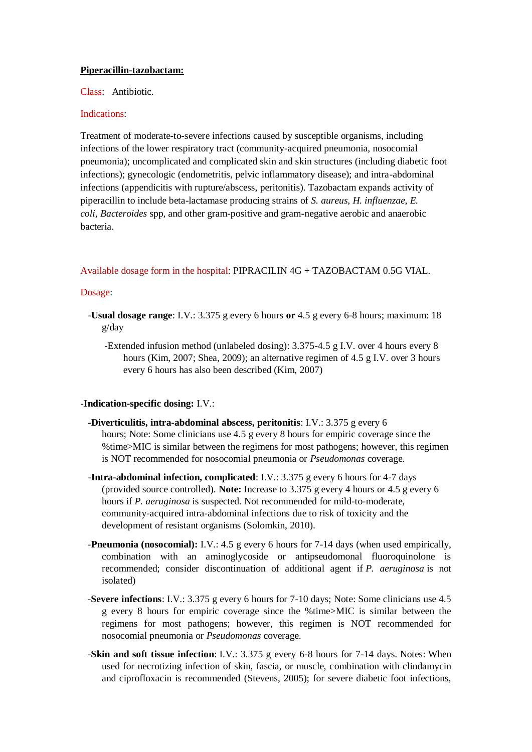# **Piperacillin-tazobactam:**

Class: Antibiotic.

## Indications:

Treatment of moderate-to-severe infections caused by susceptible organisms, including infections of the lower respiratory tract (community-acquired pneumonia, nosocomial pneumonia); uncomplicated and complicated skin and skin structures (including diabetic foot infections); gynecologic (endometritis, pelvic inflammatory disease); and intra-abdominal infections (appendicitis with rupture/abscess, peritonitis). Tazobactam expands activity of piperacillin to include beta-lactamase producing strains of *S. aureus*, *H. influenzae*, *E. coli*, *Bacteroides* spp, and other gram-positive and gram-negative aerobic and anaerobic bacteria.

# Available dosage form in the hospital: PIPRACILIN 4G + TAZOBACTAM 0.5G VIAL.

#### Dosage:

- -**Usual dosage range**: I.V.: 3.375 g every 6 hours **or** 4.5 g every 6-8 hours; maximum: 18 g/day
	- -Extended infusion method (unlabeled dosing): 3.375-4.5 g I.V. over 4 hours every 8 hours (Kim, 2007; Shea, 2009); an alternative regimen of 4.5 g I.V. over 3 hours every 6 hours has also been described (Kim, 2007)

#### -**Indication-specific dosing:** I.V.:

- -**Diverticulitis, intra-abdominal abscess, peritonitis**: I.V.: 3.375 g every 6 hours; Note: Some clinicians use 4.5 g every 8 hours for empiric coverage since the %time>MIC is similar between the regimens for most pathogens; however, this regimen is NOT recommended for nosocomial pneumonia or *Pseudomonas* coverage.
- -**Intra-abdominal infection, complicated**: I.V.: 3.375 g every 6 hours for 4-7 days (provided source controlled). **Note:** Increase to 3.375 g every 4 hours or 4.5 g every 6 hours if *P. aeruginosa* is suspected. Not recommended for mild-to-moderate, community-acquired intra-abdominal infections due to risk of toxicity and the development of resistant organisms (Solomkin, 2010).
- -**Pneumonia (nosocomial):** I.V.: 4.5 g every 6 hours for 7-14 days (when used empirically, combination with an aminoglycoside or antipseudomonal fluoroquinolone is recommended; consider discontinuation of additional agent if *P. aeruginosa* is not isolated)
- -**Severe infections**: I.V.: 3.375 g every 6 hours for 7-10 days; Note: Some clinicians use 4.5 g every 8 hours for empiric coverage since the %time>MIC is similar between the regimens for most pathogens; however, this regimen is NOT recommended for nosocomial pneumonia or *Pseudomonas* coverage.
- -**Skin and soft tissue infection**: I.V.: 3.375 g every 6-8 hours for 7-14 days. Notes: When used for necrotizing infection of skin, fascia, or muscle, combination with clindamycin and ciprofloxacin is recommended (Stevens, 2005); for severe diabetic foot infections,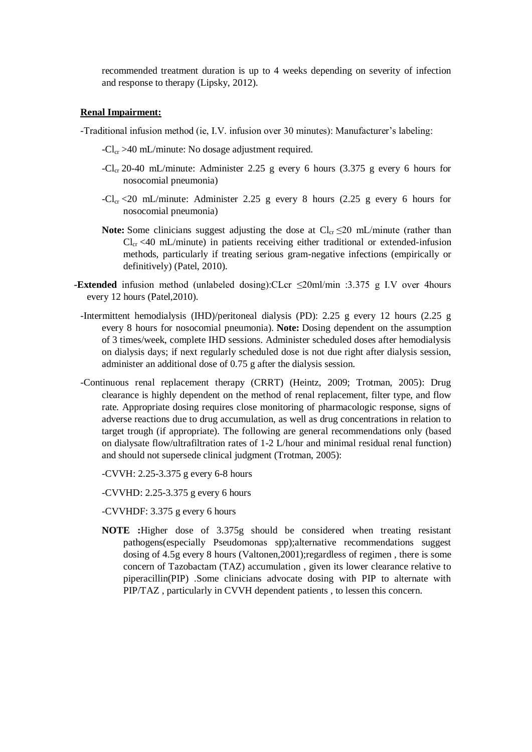recommended treatment duration is up to 4 weeks depending on severity of infection and response to therapy (Lipsky, 2012).

# **Renal Impairment:**

- -Traditional infusion method (ie, I.V. infusion over 30 minutes): Manufacturer's labeling:
	- $-Cl_{cr} > 40$  mL/minute: No dosage adjustment required.
	- -Cl<sub>cr</sub> 20-40 mL/minute: Administer 2.25 g every 6 hours (3.375 g every 6 hours for nosocomial pneumonia)
	- $-Cl_{cr} < 20$  mL/minute: Administer 2.25 g every 8 hours (2.25 g every 6 hours for nosocomial pneumonia)
	- **Note:** Some clinicians suggest adjusting the dose at  $Cl_{cr} \leq 20$  mL/minute (rather than  $Cl_{cr}$  <40 mL/minute) in patients receiving either traditional or extended-infusion methods, particularly if treating serious gram-negative infections (empirically or definitively) (Patel, 2010).
- **-Extended** infusion method (unlabeled dosing):CLcr ≤20ml/min :3.375 g I.V over 4hours every 12 hours (Patel,2010).
	- -Intermittent hemodialysis (IHD)/peritoneal dialysis (PD): 2.25 g every 12 hours (2.25 g every 8 hours for nosocomial pneumonia). **Note:** Dosing dependent on the assumption of 3 times/week, complete IHD sessions. Administer scheduled doses after hemodialysis on dialysis days; if next regularly scheduled dose is not due right after dialysis session, administer an additional dose of 0.75 g after the dialysis session.
	- -Continuous renal replacement therapy (CRRT) (Heintz, 2009; Trotman, 2005): Drug clearance is highly dependent on the method of renal replacement, filter type, and flow rate. Appropriate dosing requires close monitoring of pharmacologic response, signs of adverse reactions due to drug accumulation, as well as drug concentrations in relation to target trough (if appropriate). The following are general recommendations only (based on dialysate flow/ultrafiltration rates of 1-2 L/hour and minimal residual renal function) and should not supersede clinical judgment (Trotman, 2005):
		- -CVVH: 2.25-3.375 g every 6-8 hours
		- -CVVHD: 2.25-3.375 g every 6 hours
		- -CVVHDF: 3.375 g every 6 hours
		- **NOTE :**Higher dose of 3.375g should be considered when treating resistant pathogens(especially Pseudomonas spp);alternative recommendations suggest dosing of 4.5g every 8 hours (Valtonen,2001);regardless of regimen , there is some concern of Tazobactam (TAZ) accumulation , given its lower clearance relative to piperacillin(PIP) .Some clinicians advocate dosing with PIP to alternate with PIP/TAZ , particularly in CVVH dependent patients , to lessen this concern.